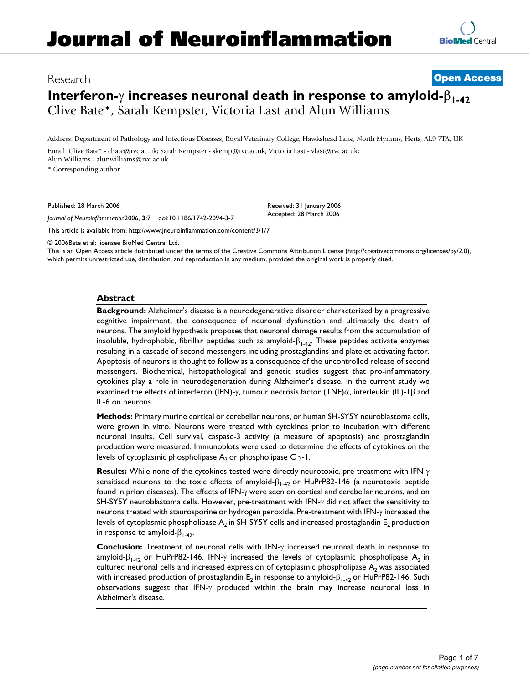# Research **[Open Access](http://www.biomedcentral.com/info/about/charter/) Interferon-**γ **increases neuronal death in response to amyloid-**β**1-42** Clive Bate\*, Sarah Kempster, Victoria Last and Alun Williams

Address: Department of Pathology and Infectious Diseases, Royal Veterinary College, Hawkshead Lane, North Mymms, Herts, AL9 7TA, UK

Email: Clive Bate\* - cbate@rvc.ac.uk; Sarah Kempster - skemp@rvc.ac.uk; Victoria Last - vlast@rvc.ac.uk; Alun Williams - alunwilliams@rvc.ac.uk \* Corresponding author

Published: 28 March 2006

*Journal of Neuroinflammation*2006, **3**:7 doi:10.1186/1742-2094-3-7

[This article is available from: http://www.jneuroinflammation.com/content/3/1/7](http://www.jneuroinflammation.com/content/3/1/7)

© 2006Bate et al; licensee BioMed Central Ltd.

This is an Open Access article distributed under the terms of the Creative Commons Attribution License [\(http://creativecommons.org/licenses/by/2.0\)](http://creativecommons.org/licenses/by/2.0), which permits unrestricted use, distribution, and reproduction in any medium, provided the original work is properly cited.

Received: 31 January 2006 Accepted: 28 March 2006

# **Abstract**

**Background:** Alzheimer's disease is a neurodegenerative disorder characterized by a progressive cognitive impairment, the consequence of neuronal dysfunction and ultimately the death of neurons. The amyloid hypothesis proposes that neuronal damage results from the accumulation of insoluble, hydrophobic, fibrillar peptides such as amyloid- $\beta_{1-42}$ . These peptides activate enzymes resulting in a cascade of second messengers including prostaglandins and platelet-activating factor. Apoptosis of neurons is thought to follow as a consequence of the uncontrolled release of second messengers. Biochemical, histopathological and genetic studies suggest that pro-inflammatory cytokines play a role in neurodegeneration during Alzheimer's disease. In the current study we examined the effects of interferon (IFN)-γ, tumour necrosis factor (TNF)α, interleukin (IL)-1β and IL-6 on neurons.

**Methods:** Primary murine cortical or cerebellar neurons, or human SH-SY5Y neuroblastoma cells, were grown in vitro. Neurons were treated with cytokines prior to incubation with different neuronal insults. Cell survival, caspase-3 activity (a measure of apoptosis) and prostaglandin production were measured. Immunoblots were used to determine the effects of cytokines on the levels of cytoplasmic phospholipase  $A_2$  or phospholipase C  $γ$ -1.

**Results:** While none of the cytokines tested were directly neurotoxic, pre-treatment with IFN-γ sensitised neurons to the toxic effects of amyloid- $\beta_{1-42}$  or HuPrP82-146 (a neurotoxic peptide found in prion diseases). The effects of IFN-γ were seen on cortical and cerebellar neurons, and on SH-SY5Y neuroblastoma cells. However, pre-treatment with IFN-γ did not affect the sensitivity to neurons treated with staurosporine or hydrogen peroxide. Pre-treatment with IFN-γ increased the levels of cytoplasmic phospholipase  $A_2$  in SH-SY5Y cells and increased prostaglandin  $E_2$  production in response to amyloid- $\beta_{1,42}$ .

**Conclusion:** Treatment of neuronal cells with IFN-γ increased neuronal death in response to amyloid-β<sub>1-42</sub> or HuPrP82-146. IFN- $\gamma$  increased the levels of cytoplasmic phospholipase A<sub>2</sub> in cultured neuronal cells and increased expression of cytoplasmic phospholipase  $A_2$  was associated with increased production of prostaglandin  $E_2$  in response to amyloid- $\beta_{1-42}$  or HuPrP82-146. Such observations suggest that IFN-γ produced within the brain may increase neuronal loss in Alzheimer's disease.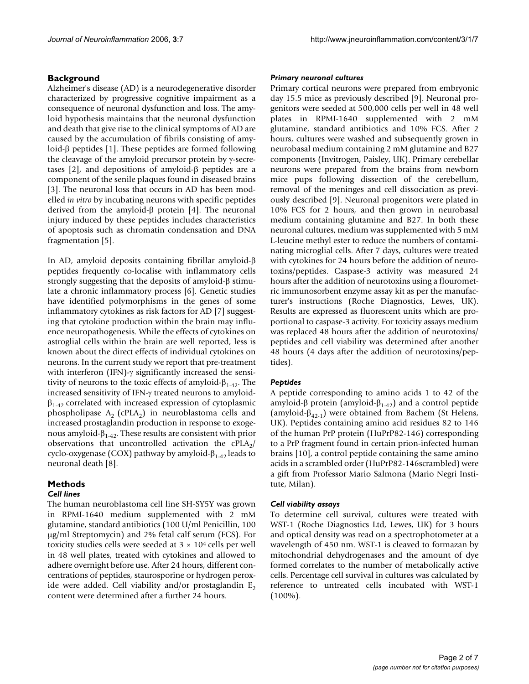# **Background**

Alzheimer's disease (AD) is a neurodegenerative disorder characterized by progressive cognitive impairment as a consequence of neuronal dysfunction and loss. The amyloid hypothesis maintains that the neuronal dysfunction and death that give rise to the clinical symptoms of AD are caused by the accumulation of fibrils consisting of amyloid-β peptides [1]. These peptides are formed following the cleavage of the amyloid precursor protein by γ-secretases [2], and depositions of amyloid-β peptides are a component of the senile plaques found in diseased brains [3]. The neuronal loss that occurs in AD has been modelled *in vitro* by incubating neurons with specific peptides derived from the amyloid-β protein [4]. The neuronal injury induced by these peptides includes characteristics of apoptosis such as chromatin condensation and DNA fragmentation [5].

In AD, amyloid deposits containing fibrillar amyloid-β peptides frequently co-localise with inflammatory cells strongly suggesting that the deposits of amyloid-β stimulate a chronic inflammatory process [6]. Genetic studies have identified polymorphisms in the genes of some inflammatory cytokines as risk factors for AD [7] suggesting that cytokine production within the brain may influence neuropathogenesis. While the effects of cytokines on astroglial cells within the brain are well reported, less is known about the direct effects of individual cytokines on neurons. In the current study we report that pre-treatment with interferon (IFN)-γ significantly increased the sensitivity of neurons to the toxic effects of amyloid- $\beta_{1-4}$ . The increased sensitivity of IFN-γ treated neurons to amyloid- $\beta_{1-42}$  correlated with increased expression of cytoplasmic phospholipase  $A_2$  (cPLA<sub>2</sub>) in neuroblastoma cells and increased prostaglandin production in response to exogenous amyloid- $β<sub>1-42</sub>$ . These results are consistent with prior observations that uncontrolled activation the  $cPLA_2$ / cyclo-oxygenase (COX) pathway by amyloid- $\beta_{1-42}$  leads to neuronal death [8].

# **Methods**

# *Cell lines*

The human neuroblastoma cell line SH-SY5Y was grown in RPMI-1640 medium supplemented with 2 mM glutamine, standard antibiotics (100 U/ml Penicillin, 100 µg/ml Streptomycin) and 2% fetal calf serum (FCS). For toxicity studies cells were seeded at  $3 \times 10^4$  cells per well in 48 well plates, treated with cytokines and allowed to adhere overnight before use. After 24 hours, different concentrations of peptides, staurosporine or hydrogen peroxide were added. Cell viability and/or prostaglandin  $E_2$ content were determined after a further 24 hours.

#### *Primary neuronal cultures*

Primary cortical neurons were prepared from embryonic day 15.5 mice as previously described [9]. Neuronal progenitors were seeded at 500,000 cells per well in 48 well plates in RPMI-1640 supplemented with 2 mM glutamine, standard antibiotics and 10% FCS. After 2 hours, cultures were washed and subsequently grown in neurobasal medium containing 2 mM glutamine and B27 components (Invitrogen, Paisley, UK). Primary cerebellar neurons were prepared from the brains from newborn mice pups following dissection of the cerebellum, removal of the meninges and cell dissociation as previously described [9]. Neuronal progenitors were plated in 10% FCS for 2 hours, and then grown in neurobasal medium containing glutamine and B27. In both these neuronal cultures, medium was supplemented with 5 mM L-leucine methyl ester to reduce the numbers of contaminating microglial cells. After 7 days, cultures were treated with cytokines for 24 hours before the addition of neurotoxins/peptides. Caspase-3 activity was measured 24 hours after the addition of neurotoxins using a flourometric immunosorbent enzyme assay kit as per the manufacturer's instructions (Roche Diagnostics, Lewes, UK). Results are expressed as fluorescent units which are proportional to caspase-3 activity. For toxicity assays medium was replaced 48 hours after the addition of neurotoxins/ peptides and cell viability was determined after another 48 hours (4 days after the addition of neurotoxins/peptides).

### *Peptides*

A peptide corresponding to amino acids 1 to 42 of the amyloid-β protein (amyloid- $β<sub>1-42</sub>$ ) and a control peptide (amyloid- $\beta_{42-1}$ ) were obtained from Bachem (St Helens, UK). Peptides containing amino acid residues 82 to 146 of the human PrP protein (HuPrP82-146) corresponding to a PrP fragment found in certain prion-infected human brains [10], a control peptide containing the same amino acids in a scrambled order (HuPrP82-146scrambled) were a gift from Professor Mario Salmona (Mario Negri Institute, Milan).

### *Cell viability assays*

To determine cell survival, cultures were treated with WST-1 (Roche Diagnostics Ltd, Lewes, UK) for 3 hours and optical density was read on a spectrophotometer at a wavelength of 450 nm. WST-1 is cleaved to formazan by mitochondrial dehydrogenases and the amount of dye formed correlates to the number of metabolically active cells. Percentage cell survival in cultures was calculated by reference to untreated cells incubated with WST-1  $(100\%)$ .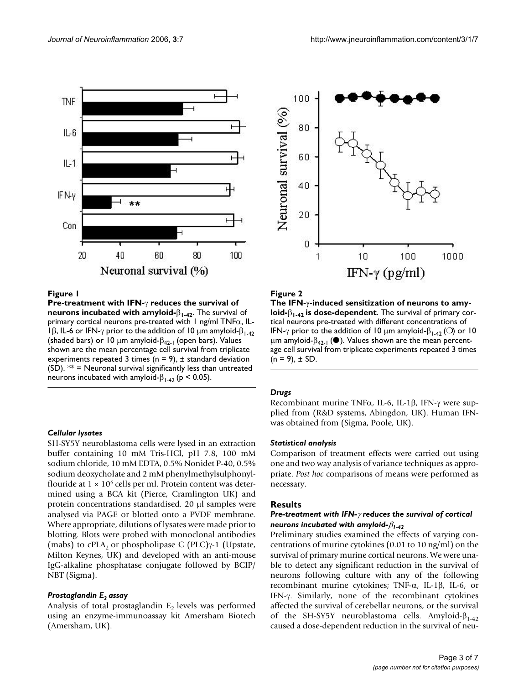



# **Pre-treatment with IFN- incubated with IFN- incubated with amy local of neurons in neurons in neurons in the survival of neurons in the survival of neurons**  $\mathbf{F}$

**Pre-treatment with IFN-**γ **reduces the survival of neurons incubated with amyloid-**β**1-42**. The survival of primary cortical neurons pre-treated with 1 ng/ml TNFα, IL-1β, IL-6 or IFN-γ prior to the addition of 10  $\mu$ m amyloid-β<sub>1-42</sub> (shaded bars) or 10 µm amyloid- $\beta_{42-1}$  (open bars). Values shown are the mean percentage cell survival from triplicate experiments repeated 3 times ( $n = 9$ ),  $\pm$  standard deviation  $(SD)$ . \*\* = Neuronal survival significantly less than untreated neurons incubated with amyloid- $β<sub>1-42</sub>$  (p < 0.05).

#### *Cellular lysates*

SH-SY5Y neuroblastoma cells were lysed in an extraction buffer containing 10 mM Tris-HCl, pH 7.8, 100 mM sodium chloride, 10 mM EDTA, 0.5% Nonidet P-40, 0.5% sodium deoxycholate and 2 mM phenylmethylsulphonylflouride at  $1 \times 10^6$  cells per ml. Protein content was determined using a BCA kit (Pierce, Cramlington UK) and protein concentrations standardised. 20 µl samples were analysed via PAGE or blotted onto a PVDF membrane. Where appropriate, dilutions of lysates were made prior to blotting. Blots were probed with monoclonal antibodies (mabs) to cPLA<sub>2</sub> or phospholipase C (PLC) $\gamma$ -1 (Upstate, Milton Keynes, UK) and developed with an anti-mouse IgG-alkaline phosphatase conjugate followed by BCIP/ NBT (Sigma).

#### *Prostaglandin E2 assay*

Analysis of total prostaglandin  $E<sub>2</sub>$  levels was performed using an enzyme-immunoassay kit Amersham Biotech (Amersham, UK).



# Figure 2

**The IFN-**γ**-induced sensitization of neurons to amyloid-**β**1-42 is dose-dependent**. The survival of primary cortical neurons pre-treated with different concentrations of IFN- $\gamma$  prior to the addition of 10  $\mu$ m amyloid- $\beta_{1-42}$  ( $\bigcirc$ ) or 10  $\mu$ m amyloid-β<sub>42-1</sub> (<sup>•</sup>). Values shown are the mean percentage cell survival from triplicate experiments repeated 3 times  $(n = 9)$ ,  $\pm$  SD.

#### *Drugs*

Recombinant murine TNFα, IL-6, IL-1β, IFN-γ were supplied from (R&D systems, Abingdon, UK). Human IFNwas obtained from (Sigma, Poole, UK).

### *Statistical analysis*

Comparison of treatment effects were carried out using one and two way analysis of variance techniques as appropriate. *Post hoc* comparisons of means were performed as necessary.

#### **Results**

# *Pre-treatment with IFN-*γ *reduces the survival of cortical neurons incubated with amyloid-*β*1-42*

Preliminary studies examined the effects of varying concentrations of murine cytokines (0.01 to 10 ng/ml) on the survival of primary murine cortical neurons. We were unable to detect any significant reduction in the survival of neurons following culture with any of the following recombinant murine cytokines; TNF-α, IL-1β, IL-6, or IFN-γ. Similarly, none of the recombinant cytokines affected the survival of cerebellar neurons, or the survival of the SH-SY5Y neuroblastoma cells. Amyloid- $β_{1-42}$ caused a dose-dependent reduction in the survival of neu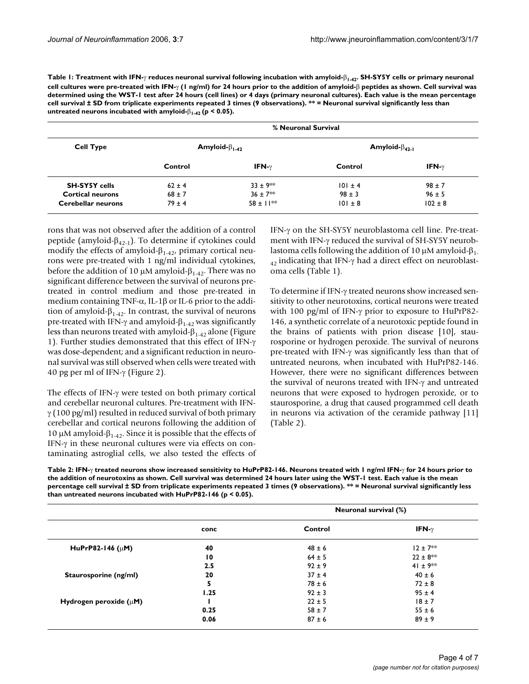**Table 1: Treatment with IFN-**γ **reduces neuronal survival following incubation with amyloid-**β**1-42. SH-SY5Y cells or primary neuronal cell cultures were pre-treated with IFN-**γ **(1 ng/ml) for 24 hours prior to the addition of amyloid-**β **peptides as shown. Cell survival was determined using the WST-1 test after 24 hours (cell lines) or 4 days (primary neuronal cultures). Each value is the mean percentage cell survival ± SD from triplicate experiments repeated 3 times (9 observations). \*\* = Neuronal survival significantly less than untreated neurons incubated with amyloid-**β**1-42 (p < 0.05).**

| <b>Cell Type</b>          | % Neuronal Survival     |                |                         |               |  |
|---------------------------|-------------------------|----------------|-------------------------|---------------|--|
|                           | Amyloid- $\beta_{1-42}$ |                | Amyloid- $\beta_{42-1}$ |               |  |
|                           | Control                 | IFN- $\gamma$  | Control                 | IFN- $\gamma$ |  |
| <b>SH-SY5Y cells</b>      | $62 \pm 4$              | $33 \pm 9$ **  | $101 \pm 4$             | $98 \pm 7$    |  |
| <b>Cortical neurons</b>   | $68 \pm 7$              | $36 \pm 7$ **  | $98 \pm 3$              | $96 \pm 5$    |  |
| <b>Cerebellar neurons</b> | $79 \pm 4$              | $58 \pm 11$ ** | $101 \pm 8$             | $102 \pm 8$   |  |

rons that was not observed after the addition of a control peptide (amyloid- $β<sub>42-1</sub>$ ). To determine if cytokines could modify the effects of amyloid- $\beta_{1-42}$ , primary cortical neurons were pre-treated with 1 ng/ml individual cytokines, before the addition of 10 μM amyloid- $β<sub>1-42</sub>$ . There was no significant difference between the survival of neurons pretreated in control medium and those pre-treated in medium containing TNF- $\alpha$ , IL-1 $\beta$  or IL-6 prior to the addition of amyloid- $\beta_{1-42}$ . In contrast, the survival of neurons pre-treated with IFN-γ and amyloid- $β<sub>1-42</sub>$  was significantly less than neurons treated with amyloid- $\beta_{1-42}$  alone (Figure 1). Further studies demonstrated that this effect of IFN-γ was dose-dependent; and a significant reduction in neuronal survival was still observed when cells were treated with 40 pg per ml of IFN-γ (Figure 2).

The effects of IFN-γ were tested on both primary cortical and cerebellar neuronal cultures. Pre-treatment with IFN- $\gamma$  (100 pg/ml) resulted in reduced survival of both primary cerebellar and cortical neurons following the addition of 10 μM amyloid- $β<sub>1-42</sub>$ . Since it is possible that the effects of IFN-γ in these neuronal cultures were via effects on contaminating astroglial cells, we also tested the effects of IFN-γ on the SH-SY5Y neuroblastoma cell line. Pre-treatment with IFN-γ reduced the survival of SH-SY5Y neuroblastoma cells following the addition of 10 μM amyloid- $β_1$ .  $_{42}$  indicating that IFN-γ had a direct effect on neuroblastoma cells (Table 1).

To determine if IFN-γ treated neurons show increased sensitivity to other neurotoxins, cortical neurons were treated with 100 pg/ml of IFN-γ prior to exposure to HuPrP82- 146, a synthetic correlate of a neurotoxic peptide found in the brains of patients with prion disease [10], staurosporine or hydrogen peroxide. The survival of neurons pre-treated with IFN-γ was significantly less than that of untreated neurons, when incubated with HuPrP82-146. However, there were no significant differences between the survival of neurons treated with IFN-γ and untreated neurons that were exposed to hydrogen peroxide, or to staurosporine, a drug that caused programmed cell death in neurons via activation of the ceramide pathway [11] (Table 2).

**Table 2: IFN-**γ **treated neurons show increased sensitivity to HuPrP82-146. Neurons treated with 1 ng/ml IFN-**γ **for 24 hours prior to the addition of neurotoxins as shown. Cell survival was determined 24 hours later using the WST-1 test. Each value is the mean percentage cell survival ± SD from triplicate experiments repeated 3 times (9 observations). \*\* = Neuronal survival significantly less than untreated neurons incubated with HuPrP82-146 (p < 0.05).**

|                             |                 | Neuronal survival (%) |               |  |
|-----------------------------|-----------------|-----------------------|---------------|--|
|                             | conc            | Control               | IFN- $\gamma$ |  |
| HuPrP82-146 ( $\mu$ M)      | 40              | $48 \pm 6$            | $12 \pm 7**$  |  |
|                             | $\overline{10}$ | $64 \pm 5$            | $22 \pm 8$ ** |  |
|                             | 2.5             | $92 \pm 9$            | 41 ± $9**$    |  |
| Staurosporine (ng/ml)       | 20              | $37 \pm 4$            | $40 \pm 6$    |  |
|                             | 5               | $78 \pm 6$            | $72 \pm 8$    |  |
|                             | 1.25            | $92 \pm 3$            | $95 \pm 4$    |  |
| Hydrogen peroxide $(\mu M)$ |                 | $22 \pm 5$            | $18 \pm 7$    |  |
|                             | 0.25            | $58 \pm 7$            | $55 \pm 6$    |  |
|                             | 0.06            | $87 \pm 6$            | $89 \pm 9$    |  |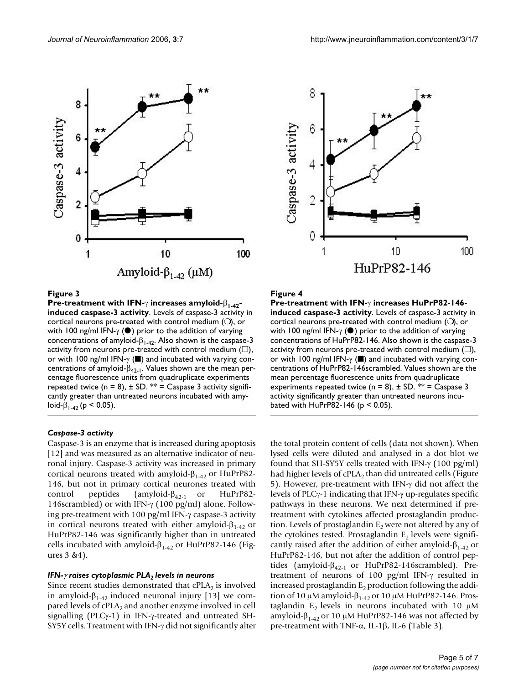

### **Figure 3**

**Pre-treatment with IFN-**γ **increases amyloid-**β**1-42 induced caspase-3 activity**. Levels of caspase-3 activity in cortical neurons pre-treated with control medium (❍), or with 100 ng/ml IFN-γ (●) prior to the addition of varying concentrations of amyloid- $\beta_{1-42}$ . Also shown is the caspase-3 activity from neurons pre-treated with control medium ( $\square$ ), or with 100 ng/ml IFN-γ (■) and incubated with varying concentrations of amyloid- $\beta_{42-1}$ . Values shown are the mean percentage fluorescence units from quadruplicate experiments repeated twice ( $n = 8$ ),  $\pm$  SD. \*\* = Caspase 3 activity significantly greater than untreated neurons incubated with amyloid-β<sub>1-42</sub> (p < 0.05).

#### *Caspase-3 activity*

Caspase-3 is an enzyme that is increased during apoptosis [12] and was measured as an alternative indicator of neuronal injury. Caspase-3 activity was increased in primary cortical neurons treated with amyloid- $β<sub>1-42</sub>$  or HuPrP82-146, but not in primary cortical neurones treated with control peptides (amyloid- $\beta_{42-1}$  or HuPrP82-146scrambled) or with IFN-γ (100 pg/ml) alone. Following pre-treatment with 100 pg/ml IFN-γ caspase-3 activity in cortical neurons treated with either amyloid- $\beta_{1-42}$  or HuPrP82-146 was significantly higher than in untreated cells incubated with amyloid- $β<sub>1-42</sub>$  or HuPrP82-146 (Figures 3 &4).

# *IFN-γ* raises cytoplasmic PLA<sub>2</sub> levels in neurons

Since recent studies demonstrated that  $cPLA_2$  is involved in amyloid- $\beta_{1-42}$  induced neuronal injury [13] we compared levels of  $cPLA_2$  and another enzyme involved in cell signalling (PLCγ-1) in IFN-γ-treated and untreated SH-SY5Y cells. Treatment with IFN-γ did not significantly alter



# **Figure 4**

**Pre-treatment with IFN-**γ **increases HuPrP82-146 induced caspase-3 activity**. Levels of caspase-3 activity in cortical neurons pre-treated with control medium (❍), or with 100 ng/ml IFN- $\gamma$  ( $\bullet$ ) prior to the addition of varying concentrations of HuPrP82-146. Also shown is the caspase-3 activity from neurons pre-treated with control medium  $(\square)$ , or with 100 ng/ml IFN-γ (■) and incubated with varying concentrations of HuPrP82-146scrambled. Values shown are the mean percentage fluorescence units from quadruplicate experiments repeated twice (n = 8),  $\pm$  SD. \*\* = Caspase 3 activity significantly greater than untreated neurons incubated with HuPrP82-146 ( $p < 0.05$ ).

the total protein content of cells (data not shown). When lysed cells were diluted and analysed in a dot blot we found that SH-SY5Y cells treated with IFN-γ (100 pg/ml) had higher levels of  $cPLA_2$  than did untreated cells (Figure 5). However, pre-treatment with IFN-γ did not affect the levels of PLCγ-1 indicating that IFN-γ up-regulates specific pathways in these neurons. We next determined if pretreatment with cytokines affected prostaglandin production. Levels of prostaglandin  $E<sub>2</sub>$  were not altered by any of the cytokines tested. Prostaglandin  $E<sub>2</sub>$  levels were significantly raised after the addition of either amyloid- $\beta_{1-42}$  or HuPrP82-146, but not after the addition of control peptides (amyloid- $\beta_{42-1}$  or HuPrP82-146scrambled). Pretreatment of neurons of 100 pg/ml IFN-γ resulted in increased prostaglandin  $E<sub>2</sub>$  production following the addition of 10 μM amyloid- $β_{1-42}$  or 10 μM HuPrP82-146. Prostaglandin  $E_2$  levels in neurons incubated with 10  $\mu$ M amyloid-β<sub>1-42</sub> or 10 μM HuPrP82-146 was not affected by pre-treatment with TNF-α, IL-1β, IL-6 (Table 3).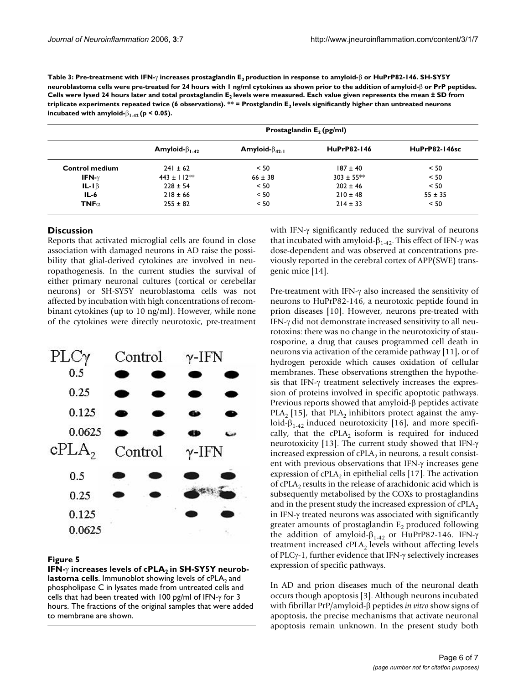| Table 3: Pre-treatment with IFN- $\gamma$ increases prostaglandin E, production in response to amyloid- $\beta$ or HuPrP82-146. SH-SYSY             |
|-----------------------------------------------------------------------------------------------------------------------------------------------------|
| neuroblastoma cells were pre-treated for 24 hours with $\bf{l}$ ng/ml cytokines as shown prior to the addition of amyloid- $\beta$ or PrP peptides. |
| Cells were lysed 24 hours later and total prostaglandin E, levels were measured. Each value given represents the mean ± SD from                     |
| triplicate experiments repeated twice (6 observations). ** = Prostglandin E, levels significantly higher than untreated neurons                     |
| incubated with amyloid- $\beta_{1,42}$ (p < 0.05).                                                                                                  |

|                       | Prostaglandin $E_2$ (pg/ml) |                         |                    |                      |  |  |
|-----------------------|-----------------------------|-------------------------|--------------------|----------------------|--|--|
|                       | Amyloid- $\beta_{1-42}$     | Amyloid- $\beta_{42,1}$ | <b>HuPrP82-146</b> | <b>HuPrP82-146sc</b> |  |  |
| <b>Control medium</b> | $241 \pm 62$                | < 50                    | $187 \pm 40$       | < 50                 |  |  |
| IFN- $\gamma$         | 443 ± $112**$               | $66 \pm 38$             | $303 \pm 55$ **    | < 50                 |  |  |
| $IL-I\beta$           | $228 \pm 54$                | < 50                    | $202 \pm 46$       | < 50                 |  |  |
| $IL-6$                | $218 \pm 66$                | < 50                    | $210 \pm 48$       | $55 \pm 35$          |  |  |
| TNF $\alpha$          | $255 \pm 82$                | < 50                    | $214 \pm 33$       | < 50                 |  |  |

# **Discussion**

Reports that activated microglial cells are found in close association with damaged neurons in AD raise the possibility that glial-derived cytokines are involved in neuropathogenesis. In the current studies the survival of either primary neuronal cultures (cortical or cerebellar neurons) or SH-SY5Y neuroblastoma cells was not affected by incubation with high concentrations of recombinant cytokines (up to 10 ng/ml). However, while none of the cytokines were directly neurotoxic, pre-treatment



# **IFIGURE 5** increases the cPLA2 cells of cPLA2 cells of cPLA2 cells  $F$

lFN-γ increases levels of cPLA<sub>2</sub> in SH-SY5Y neurob**lastoma cells**. Immunoblot showing levels of cPLA<sub>2</sub> and phospholipase C in lysates made from untreated cells and cells that had been treated with 100 pg/ml of IFN-γ for 3 hours. The fractions of the original samples that were added to membrane are shown.

with IFN-γ significantly reduced the survival of neurons that incubated with amyloid- $β<sub>1-42</sub>$ . This effect of IFN- $γ$  was dose-dependent and was observed at concentrations previously reported in the cerebral cortex of APP(SWE) transgenic mice [14].

Pre-treatment with IFN-γ also increased the sensitivity of neurons to HuPrP82-146, a neurotoxic peptide found in prion diseases [10]. However, neurons pre-treated with IFN-γ did not demonstrate increased sensitivity to all neurotoxins: there was no change in the neurotoxicity of staurosporine, a drug that causes programmed cell death in neurons via activation of the ceramide pathway [11], or of hydrogen peroxide which causes oxidation of cellular membranes. These observations strengthen the hypothesis that IFN-γ treatment selectively increases the expression of proteins involved in specific apoptotic pathways. Previous reports showed that amyloid-β peptides activate PLA<sub>2</sub> [15], that PLA<sub>2</sub> inhibitors protect against the amyloid- $\beta_{1-42}$  induced neurotoxicity [16], and more specifically, that the  $cPLA_2$  isoform is required for induced neurotoxicity [13]. The current study showed that IFN-γ increased expression of  $cPLA_2$  in neurons, a result consistent with previous observations that IFN-γ increases gene expression of cPLA<sub>2</sub> in epithelial cells [17]. The activation of cPLA<sub>2</sub> results in the release of arachidonic acid which is subsequently metabolised by the COXs to prostaglandins and in the present study the increased expression of  $cPLA<sub>2</sub>$ in IFN-γ treated neurons was associated with significantly greater amounts of prostaglandin  $E_2$  produced following the addition of amyloid- $β_{1-42}$  or HuPrP82-146. IFN-γ treatment increased  $cPLA_2$  levels without affecting levels of PLCγ-1, further evidence that IFN-γ selectively increases expression of specific pathways.

In AD and prion diseases much of the neuronal death occurs though apoptosis [3]. Although neurons incubated with fibrillar PrP/amyloid-β peptides *in vitro* show signs of apoptosis, the precise mechanisms that activate neuronal apoptosis remain unknown. In the present study both